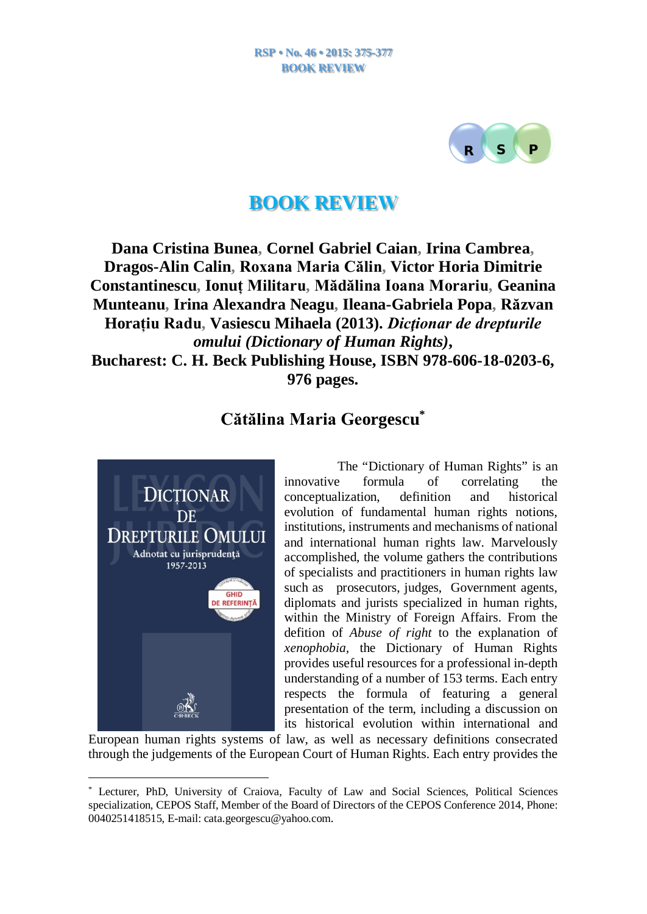

## **BOOK REVIEW**

**Dana Cristina Bunea, Cornel Gabriel Caian, Irina Cambrea, Dragos-Alin Calin, Roxana Maria Călin, Victor Horia Dimitrie Constantinescu, Ionuț Militaru, Mădălina Ioana Morariu, Geanina Munteanu, Irina Alexandra Neagu, Ileana-Gabriela Popa, Răzvan Horațiu Radu, Vasiescu Mihaela (2013).** *Dicţionar de drepturile omului (Dictionary of Human Rights)***, Bucharest: C. H. Beck Publishing House, ISBN 978-606-18-0203-6, 976 pages.**

## **Cătălina Maria Georgescu \***



The "Dictionary of Human Rights" is an innovative formula of correlating the conceptualization, definition and historical evolution of fundamental human rights notions, institutions, instruments and mechanisms of national and international human rights law. Marvelously accomplished, the volume gathers the contributions of specialists and practitioners in human rights law such as prosecutors, judges, Government agents, diplomats and jurists specialized in human rights, within the Ministry of Foreign Affairs. From the defition of *Abuse of right* to the explanation of *xenophobia,* the Dictionary of Human Rights provides useful resources for a professional in-depth understanding of a number of 153 terms. Each entry respects the formula of featuring a general presentation of the term, including a discussion on its historical evolution within international and

European human rights systems of law, as well as necessary definitions consecrated through the judgements of the European Court of Human Rights. Each entry provides the

<sup>\*</sup> Lecturer, PhD, University of Craiova, Faculty of Law and Social Sciences, Political Sciences specialization, CEPOS Staff, Member of the Board of Directors of the CEPOS Conference 2014, Phone: 0040251418515, E-mail: [cata.georgescu@yahoo.com](mailto:cata.georgescu@yahoo.com).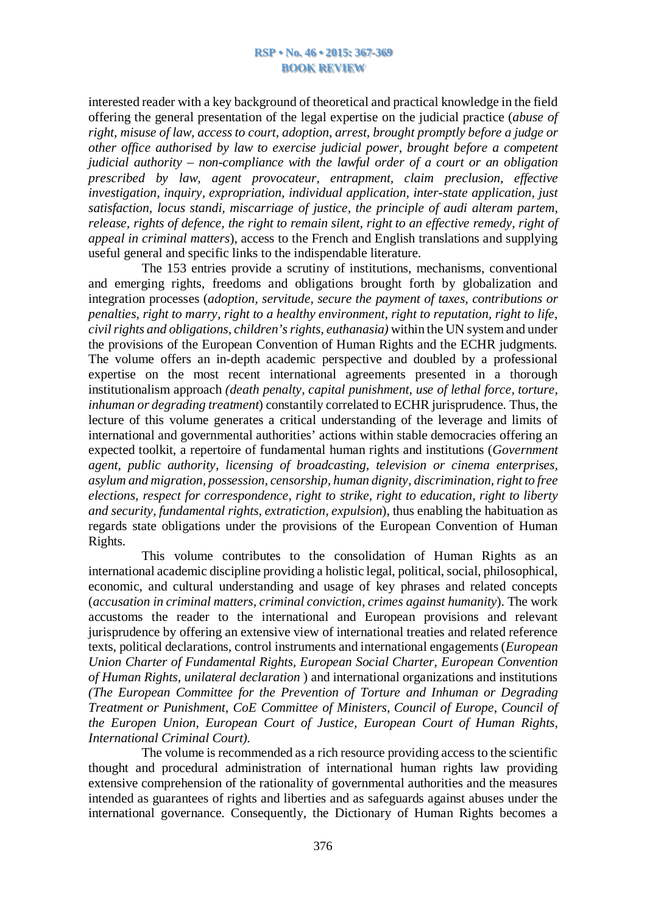interested reader with a key background of theoretical and practical knowledge in the field offering the general presentation of the legal expertise on the judicial practice (*abuse of right, misuse of law, access to court, adoption, arrest, brought promptly before a judge or other office authorised by law to exercise judicial power, brought before a competent judicial authority – non-compliance with the lawful order of a court or an obligation prescribed by law, agent provocateur, entrapment, claim preclusion, effective investigation, inquiry, expropriation, individual application, inter-state application, just satisfaction, locus standi, miscarriage of justice, the principle of audi alteram partem, release, rights of defence, the right to remain silent, right to an effective remedy, right of appeal in criminal matters*), access to the French and English translations and supplying useful general and specific links to the indispendable literature.

The 153 entries provide a scrutiny of institutions, mechanisms, conventional and emerging rights, freedoms and obligations brought forth by globalization and integration processes (*adoption, servitude, secure the payment of taxes, contributions or penalties, right to marry, right to a healthy environment, right to reputation, right to life, civilrights and obligations, children'srights, euthanasia)* within the UN systemand under the provisions of the European Convention of Human Rights and the ECHR judgments*.* The volume offers an in-depth academic perspective and doubled by a professional expertise on the most recent international agreements presented in a thorough institutionalism approach *(death penalty, capital punishment, use of lethal force, torture, inhuman or degrading treatment*) constantily correlated to ECHR jurisprudence. Thus, the lecture of this volume generates a critical understanding of the leverage and limits of international and governmental authorities' actions within stable democracies offering an expected toolkit, a repertoire of fundamental human rights and institutions (*Government agent, public authority, licensing of broadcasting, television or cinema enterprises, asylum and migration, possession, censorship, human dignity, discrimination,right to free elections, respect for correspondence, right to strike, right to education, right to liberty and security, fundamental rights, extratiction, expulsion*), thus enabling the habituation as regards state obligations under the provisions of the European Convention of Human Rights.

This volume contributes to the consolidation of Human Rights as an international academic discipline providing a holistic legal, political,social, philosophical, economic, and cultural understanding and usage of key phrases and related concepts (*accusation in criminal matters, criminal conviction, crimes against humanity*). The work accustoms the reader to the international and European provisions and relevant jurisprudence by offering an extensive view of international treaties and related reference texts, political declarations, control instruments and international engagements (*European Union Charter of Fundamental Rights, European Social Charter, European Convention of Human Rights, unilateral declaration* ) and international organizations and institutions *(The European Committee for the Prevention of Torture and Inhuman or Degrading Treatment or Punishment, CoE Committee of Ministers, Council of Europe, Council of the Europen Union, European Court of Justice, European Court of Human Rights, International Criminal Court).*

The volume is recommended as a rich resource providing access to the scientific thought and procedural administration of international human rights law providing extensive comprehension of the rationality of governmental authorities and the measures intended as guarantees of rights and liberties and as safeguards against abuses under the international governance. Consequently, the Dictionary of Human Rights becomes a